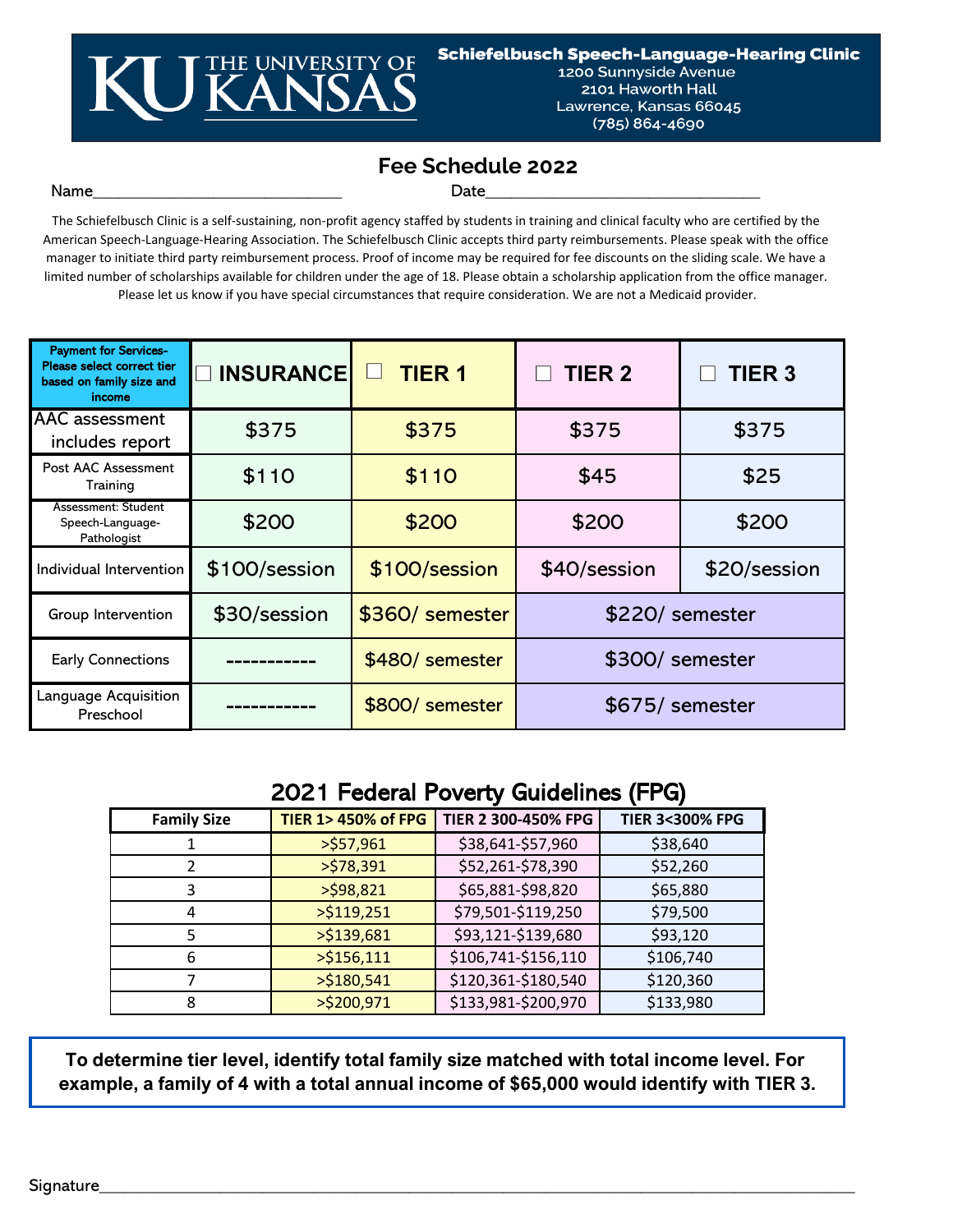

1200 Sunnyside Avenue 2101 Haworth Hall Lawrence, Kansas 66045 (785) 864-4690

# **Fee Schedule 2022**

#### Name\_\_\_\_\_\_\_\_\_\_\_\_\_\_\_\_\_\_\_\_\_\_\_\_\_\_\_\_\_ Date\_\_\_\_\_\_\_\_\_\_\_\_\_\_\_\_\_\_\_\_\_\_\_\_\_\_\_\_\_\_\_\_

The Schiefelbusch Clinic is a self-sustaining, non-profit agency staffed by students in training and clinical faculty who are certified by the American Speech-Language-Hearing Association. The Schiefelbusch Clinic accepts third party reimbursements. Please speak with the office manager to initiate third party reimbursement process. Proof of income may be required for fee discounts on the sliding scale. We have a limited number of scholarships available for children under the age of 18. Please obtain a scholarship application from the office manager. Please let us know if you have special circumstances that require consideration. We are not a Medicaid provider.

| <b>Payment for Services-</b><br>Please select correct tier<br>based on family size and<br>income | <b>INSURANCE</b> | <b>TIER 1</b>   | <b>TIER 2</b>   | <b>TIER 3</b> |
|--------------------------------------------------------------------------------------------------|------------------|-----------------|-----------------|---------------|
| <b>AAC</b> assessment<br>includes report                                                         | \$375            | \$375           | \$375           | \$375         |
| Post AAC Assessment<br>Training                                                                  | \$110            | \$110           | \$45            | \$25          |
| Assessment: Student<br>Speech-Language-<br>Pathologist                                           | \$200            | \$200           | \$200           | \$200         |
| Individual Intervention                                                                          | \$100/session    | \$100/session   | \$40/session    | \$20/session  |
| Group Intervention                                                                               | \$30/session     | \$360/ semester | \$220/ semester |               |
| <b>Early Connections</b>                                                                         |                  | \$480/ semester | \$300/ semester |               |
| Language Acquisition<br>Preschool                                                                |                  | \$800/ semester | \$675/ semester |               |

## 2021 Federal Poverty Guidelines (FPG)

| <b>Family Size</b> | <b>TIER 1&gt; 450% of FPG</b> | TIER 2 300-450% FPG | <b>TIER 3&lt;300% FPG</b> |
|--------------------|-------------------------------|---------------------|---------------------------|
|                    | >557,961                      | \$38,641-\$57,960   | \$38,640                  |
|                    | >578,391                      | \$52,261-\$78,390   | \$52,260                  |
| 3                  | $>$ \$98,821                  | \$65,881-\$98,820   | \$65,880                  |
| 4                  | $>$ \$119,251                 | \$79,501-\$119,250  | \$79,500                  |
|                    | $>$ \$139,681                 | \$93,121-\$139,680  | \$93,120                  |
| 6                  | $>$ \$156,111                 | \$106,741-\$156,110 | \$106,740                 |
|                    | $>$ \$180,541                 | \$120,361-\$180,540 | \$120,360                 |
| 8                  | >\$200,971                    | \$133,981-\$200,970 | \$133,980                 |

**To determine tier level, identify total family size matched with total income level. For example, a family of 4 with a total annual income of \$65,000 would identify with TIER 3.**